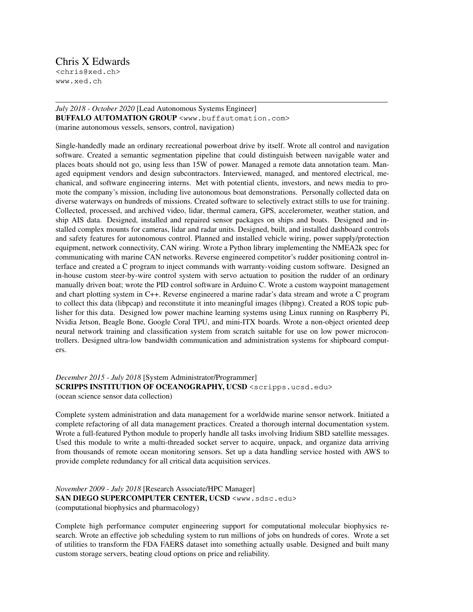## Chris X Edwards

<chris@xed.ch> www.xed.ch

## *July 2018 - October 2020* [Lead Autonomous Systems Engineer] **BUFFALO AUTOMATION GROUP** <www.buffautomation.com> (marine autonomous vessels, sensors, control, navigation)

Single-handedly made an ordinary recreational powerboat drive by itself. Wrote all control and navigation software. Created a semantic segmentation pipeline that could distinguish between navigable water and places boats should not go, using less than 15W of power. Managed a remote data annotation team. Managed equipment vendors and design subcontractors. Interviewed, managed, and mentored electrical, mechanical, and software engineering interns. Met with potential clients, investors, and news media to promote the company's mission, including live autonomous boat demonstrations. Personally collected data on diverse waterways on hundreds of missions. Created software to selectively extract stills to use for training. Collected, processed, and archived video, lidar, thermal camera, GPS, accelerometer, weather station, and ship AIS data. Designed, installed and repaired sensor packages on ships and boats. Designed and installed complex mounts for cameras, lidar and radar units. Designed, built, and installed dashboard controls and safety features for autonomous control. Planned and installed vehicle wiring, power supply/protection equipment, network connectivity, CAN wiring. Wrote a Python library implementing the NMEA2k spec for communicating with marine CAN networks. Reverse engineered competitor's rudder positioning control interface and created a C program to inject commands with warranty-voiding custom software. Designed an in-house custom steer-by-wire control system with servo actuation to position the rudder of an ordinary manually driven boat; wrote the PID control software in Arduino C. Wrote a custom waypoint management and chart plotting system in C++. Reverse engineered a marine radar's data stream and wrote a C program to collect this data (libpcap) and reconstitute it into meaningful images (libpng). Created a ROS topic publisher for this data. Designed low power machine learning systems using Linux running on Raspberry Pi, Nvidia Jetson, Beagle Bone, Google Coral TPU, and mini-ITX boards. Wrote a non-object oriented deep neural network training and classification system from scratch suitable for use on low power microcontrollers. Designed ultra-low bandwidth communication and administration systems for shipboard computers.

## *December 2015 - July 2018* [System Administrator/Programmer] SCRIPPS INSTITUTION OF OCEANOGRAPHY, UCSD <scripps.ucsd.edu> (ocean science sensor data collection)

Complete system administration and data management for a worldwide marine sensor network. Initiated a complete refactoring of all data management practices. Created a thorough internal documentation system. Wrote a full-featured Python module to properly handle all tasks involving Iridium SBD satellite messages. Used this module to write a multi-threaded socket server to acquire, unpack, and organize data arriving from thousands of remote ocean monitoring sensors. Set up a data handling service hosted with AWS to provide complete redundancy for all critical data acquisition services.

## *November 2009 - July 2018* [Research Associate/HPC Manager] SAN DIEGO SUPERCOMPUTER CENTER, UCSD <www.sdsc.edu> (computational biophysics and pharmacology)

Complete high performance computer engineering support for computational molecular biophysics research. Wrote an effective job scheduling system to run millions of jobs on hundreds of cores. Wrote a set of utilities to transform the FDA FAERS dataset into something actually usable. Designed and built many custom storage servers, beating cloud options on price and reliability.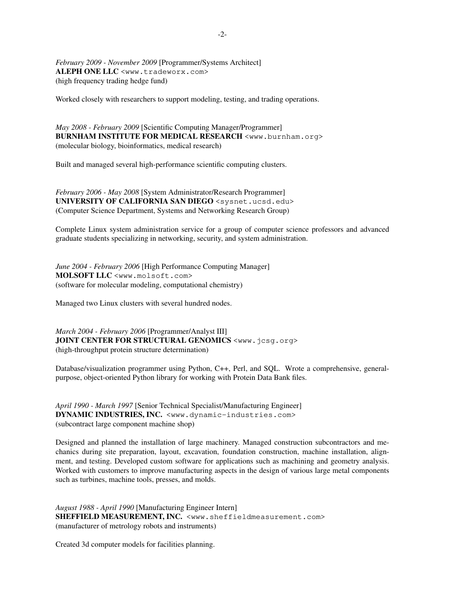*February 2009 - November 2009* [Programmer/Systems Architect] **ALEPH ONE LLC** <www.tradeworx.com> (high frequency trading hedge fund)

Worked closely with researchers to support modeling, testing, and trading operations.

*May 2008 - February 2009* [Scientific Computing Manager/Programmer] BURNHAM INSTITUTE FOR MEDICAL RESEARCH <www.burnham.org> (molecular biology, bioinformatics, medical research)

Built and managed several high-performance scientific computing clusters.

*February 2006 - May 2008* [System Administrator/Research Programmer] **UNIVERSITY OF CALIFORNIA SAN DIEGO** <sysnet.ucsd.edu> (Computer Science Department, Systems and Networking Research Group)

Complete Linux system administration service for a group of computer science professors and advanced graduate students specializing in networking, security, and system administration.

*June 2004 - February 2006* [High Performance Computing Manager] **MOLSOFT LLC** <www.molsoft.com> (software for molecular modeling, computational chemistry)

Managed two Linux clusters with several hundred nodes.

*March 2004 - February 2006* [Programmer/Analyst III] **JOINT CENTER FOR STRUCTURAL GENOMICS** <www.jcsg.org> (high-throughput protein structure determination)

Database/visualization programmer using Python, C++, Perl, and SQL. Wrote a comprehensive, generalpurpose, object-oriented Python library for working with Protein Data Bank files.

*April 1990 - March 1997* [Senior Technical Specialist/Manufacturing Engineer] **DYNAMIC INDUSTRIES, INC.** <www.dynamic-industries.com> (subcontract large component machine shop)

Designed and planned the installation of large machinery. Managed construction subcontractors and mechanics during site preparation, layout, excavation, foundation construction, machine installation, alignment, and testing. Developed custom software for applications such as machining and geometry analysis. Worked with customers to improve manufacturing aspects in the design of various large metal components such as turbines, machine tools, presses, and molds.

*August 1988 - April 1990* [Manufacturing Engineer Intern] SHEFFIELD MEASUREMENT, INC. <www.sheffieldmeasurement.com> (manufacturer of metrology robots and instruments)

Created 3d computer models for facilities planning.